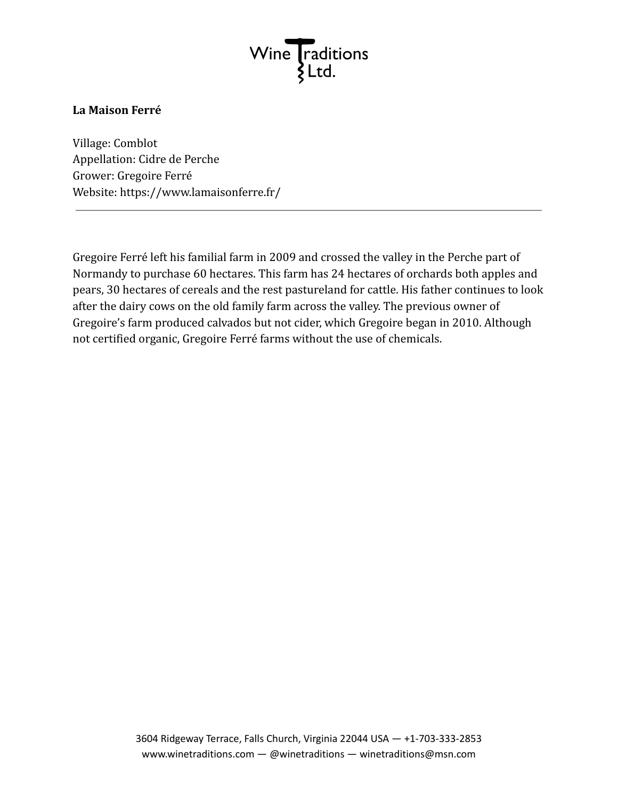

## **La Maison Ferré**

Village: Comblot Appellation: Cidre de Perche Grower: Gregoire Ferré Website: https://www.lamaisonferre.fr/

Gregoire Ferré left his familial farm in 2009 and crossed the valley in the Perche part of Normandy to purchase 60 hectares. This farm has 24 hectares of orchards both apples and pears, 30 hectares of cereals and the rest pastureland for cattle. His father continues to look after the dairy cows on the old family farm across the valley. The previous owner of Gregoire's farm produced calvados but not cider, which Gregoire began in 2010. Although not certified organic, Gregoire Ferré farms without the use of chemicals.